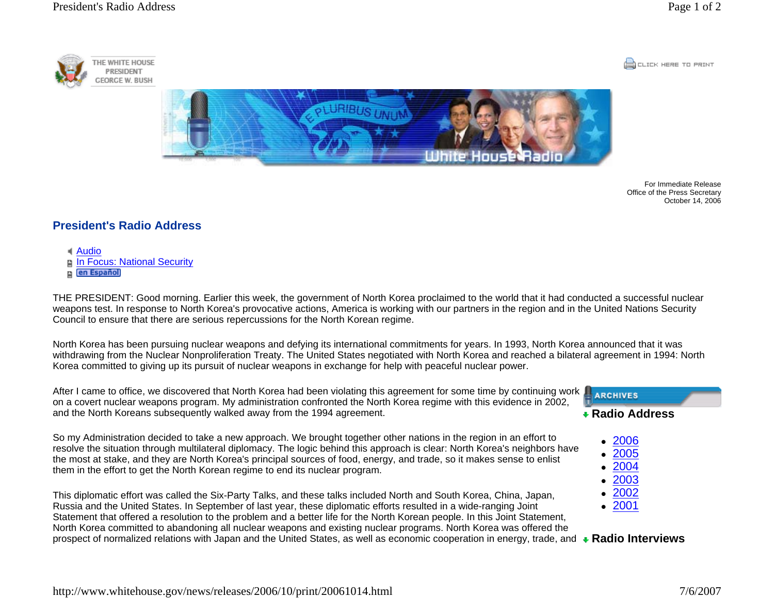THE WHITE HOUSE

PRESIDENT





For Immediate Release Office of the Press Secretary October 14, 2006

## **President's Radio Address**

Audio**Film Focus: National Security** 

**n en Español** 

THE PRESIDENT: Good morning. Earlier this week, the government of North Korea proclaimed to the world that it had conducted a successful nuclear weapons test. In response to North Korea's provocative actions, America is working with our partners in the region and in the United Nations Security Council to ensure that there are serious repercussions for the North Korean regime.

North Korea has been pursuing nuclear weapons and defying its international commitments for years. In 1993, North Korea announced that it was withdrawing from the Nuclear Nonproliferation Treaty. The United States negotiated with North Korea and reached a bilateral agreement in 1994: North Korea committed to giving up its pursuit of nuclear weapons in exchange for help with peaceful nuclear power.

After I came to office, we discovered that North Korea had been violating this agreement for some time by continuing work on a covert nuclear weapons program. My administration confronted the North Korea regime with this evidence in 2002, and the North Koreans subsequently walked away from the 1994 agreement.

So my Administration decided to take a new approach. We brought together other nations in the region in an effort to resolve the situation through multilateral diplomacy. The logic behind this approach is clear: North Korea's neighbors have the most at stake, and they are North Korea's principal sources of food, energy, and trade, so it makes sense to enlist them in the effort to get the North Korean regime to end its nuclear program.

This diplomatic effort was called the Six-Party Talks, and these talks included North and South Korea, China, Japan, Russia and the United States. In September of last year, these diplomatic efforts resulted in a wide-ranging Joint Statement that offered a resolution to the problem and a better life for the North Korean people. In this Joint Statement, North Korea committed to abandoning all nuclear weapons and existing nuclear programs. North Korea was offered the prospect of normalized relations with Japan and the United States, as well as economic cooperation in energy, trade, and **Radio Interviews** $\bullet$ • 2001



- 2006
- $\bullet$ 2005
- o 2004
- $\bullet$  2003 2002
- 
-